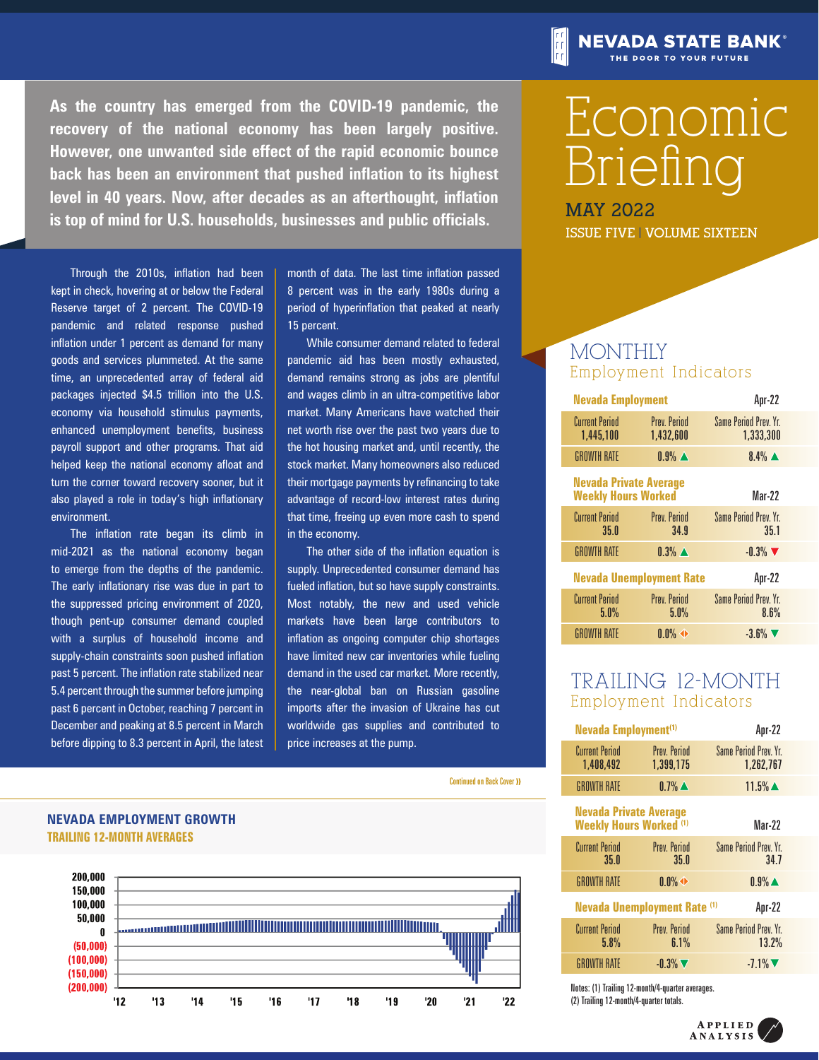**As the country has emerged from the COVID-19 pandemic, the recovery of the national economy has been largely positive. However, one unwanted side effect of the rapid economic bounce back has been an environment that pushed inflation to its highest level in 40 years. Now, after decades as an afterthought, inflation is top of mind for U.S. households, businesses and public officials.**

Through the 2010s, inflation had been kept in check, hovering at or below the Federal Reserve target of 2 percent. The COVID-19 pandemic and related response pushed inflation under 1 percent as demand for many goods and services plummeted. At the same time, an unprecedented array of federal aid packages injected \$4.5 trillion into the U.S. economy via household stimulus payments, enhanced unemployment benefits, business payroll support and other programs. That aid helped keep the national economy afloat and turn the corner toward recovery sooner, but it also played a role in today's high inflationary environment.

The inflation rate began its climb in mid-2021 as the national economy began to emerge from the depths of the pandemic. The early inflationary rise was due in part to the suppressed pricing environment of 2020, though pent-up consumer demand coupled with a surplus of household income and supply-chain constraints soon pushed inflation past 5 percent. The inflation rate stabilized near 5.4 percent through the summer before jumping past 6 percent in October, reaching 7 percent in December and peaking at 8.5 percent in March before dipping to 8.3 percent in April, the latest month of data. The last time inflation passed 8 percent was in the early 1980s during a period of hyperinflation that peaked at nearly 15 percent.

While consumer demand related to federal pandemic aid has been mostly exhausted, demand remains strong as jobs are plentiful and wages climb in an ultra-competitive labor market. Many Americans have watched their net worth rise over the past two years due to the hot housing market and, until recently, the stock market. Many homeowners also reduced their mortgage payments by refinancing to take advantage of record-low interest rates during that time, freeing up even more cash to spend in the economy.

The other side of the inflation equation is supply. Unprecedented consumer demand has fueled inflation, but so have supply constraints. Most notably, the new and used vehicle markets have been large contributors to inflation as ongoing computer chip shortages have limited new car inventories while fueling demand in the used car market. More recently, the near-global ban on Russian gasoline imports after the invasion of Ukraine has cut worldwide gas supplies and contributed to price increases at the pump.

Continued on Back Cover >>

# **TRAILING 12-MONTH AVERAGES NEVADA EMPLOYMENT GROWTH**



# Economic Briefing

**NEVADA STATE BANK®** THE DOOR TO YOUR FUTURE

**MAY 2022 ISSUE FIVE | VOLUME SIXTEEN**

# **MONTHLY** Employment Indicators

| Apr-22                              | <b>Nevada Employment</b>                                    |                                    |  |
|-------------------------------------|-------------------------------------------------------------|------------------------------------|--|
| Same Period Prev. Yr.<br>1,333,300  | <b>Prev. Period</b><br>1,432,600                            | <b>Current Period</b><br>1,445,100 |  |
| $8.4\%$ $\triangle$                 | $0.9\%$ $\blacktriangle$                                    | <b>GROWTH RATE</b>                 |  |
| Mar-22                              | <b>Nevada Private Average</b><br><b>Weekly Hours Worked</b> |                                    |  |
| Same Period Prev. Yr.<br>35.1       | <b>Prev. Period</b><br>34.9                                 | <b>Current Period</b><br>35.0      |  |
| $-0.3\%$                            | $0.3\%$ $\triangle$                                         | <b>GROWTH RATE</b>                 |  |
| Apr-22                              | <b>Nevada Unemployment Rate</b>                             |                                    |  |
| <b>Same Period Prev Yr.</b><br>8.6% | <b>Prev. Period</b><br>5.0%                                 | <b>Current Period</b><br>5.0%      |  |
| $-3.6\%$                            | $0.0\%$ $\rightarrow$                                       | <b>GROWTH RATE</b>                 |  |

# TRAILING 12-MONTH Employment Indicators

| Apr-22                                        | Nevada Employment <sup>(1)</sup>                                |                                    |  |
|-----------------------------------------------|-----------------------------------------------------------------|------------------------------------|--|
| Same Period Prev. Yr.<br>1,262,767            | <b>Prev. Period</b><br>1,399,175                                | <b>Current Period</b><br>1,408,492 |  |
| $11.5\%$ $\triangle$                          | $0.7\%$ $\triangle$                                             | <b>GROWTH RATE</b>                 |  |
| Mar-22                                        | <b>Nevada Private Average</b><br><b>Weekly Hours Worked (1)</b> |                                    |  |
| Same Period Prev. Yr.<br>34.7                 | <b>Prev. Period</b><br>35.0                                     | <b>Current Period</b><br>35.0      |  |
| $0.9\%$ $\blacktriangle$                      | $0.0\%$ $\leftrightarrow$                                       | <b>GROWTH RATE</b>                 |  |
| <b>Nevada Unemployment Rate (1)</b><br>Apr-22 |                                                                 |                                    |  |
| <b>Same Period Prev. Yr.</b><br>13.2%         | <b>Prev. Period</b><br>6.1%                                     | <b>Current Period</b><br>5.8%      |  |
| $-7.1\%$ $\blacktriangledown$                 | $-0.3\%$ $\nabla$                                               | <b>GROWTH RATE</b>                 |  |

Notes: (1) Trailing 12-month/4-quarter averages. (2) Trailing 12-month/4-quarter totals.

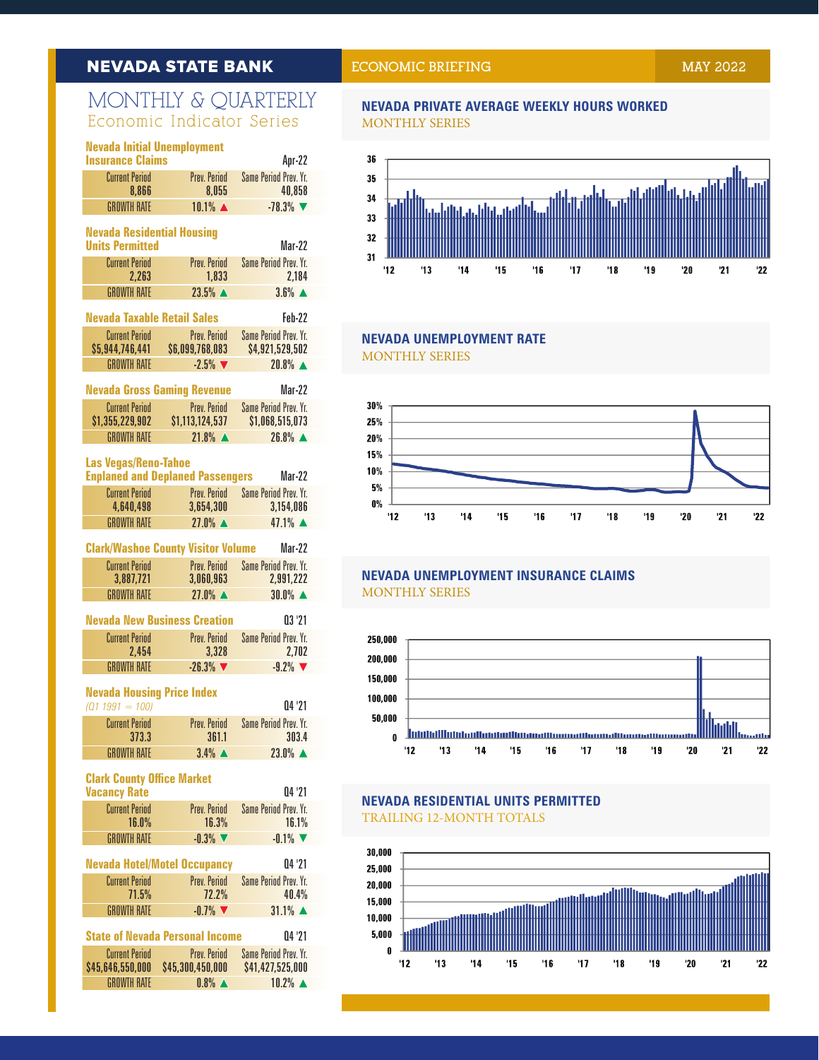# **NEVADA STATE BANK**

# MONTHLY & QUARTERLY Economic Indicator Series

|                                                                       | <b>Nevada Initial Unemployment</b><br><b>Insurance Claims</b><br>Apr-22 |                                                        |                                                 |  |  |
|-----------------------------------------------------------------------|-------------------------------------------------------------------------|--------------------------------------------------------|-------------------------------------------------|--|--|
|                                                                       | <b>Current Period</b>                                                   | Prev. Period                                           | <b>Same Period Prev. Yr.</b>                    |  |  |
|                                                                       | 8.866<br><b>GROWTH RATE</b>                                             | 8,055<br>10.1% ▲                                       | 40,858<br>$-78.3%$                              |  |  |
|                                                                       |                                                                         |                                                        |                                                 |  |  |
| <b>Nevada Residential Housing</b><br><b>Units Permitted</b><br>Mar-22 |                                                                         |                                                        |                                                 |  |  |
|                                                                       | <b>Current Period</b>                                                   | Prev. Period                                           | <b>Same Period Prev. Yr.</b>                    |  |  |
|                                                                       | 2,263<br><b>GROWTH RATE</b>                                             | 1,833<br>23.5% ▲                                       | 2,184<br>$3.6%$ $\triangle$                     |  |  |
|                                                                       | <b>Nevada Taxable Retail Sales</b>                                      |                                                        | Feb-22                                          |  |  |
|                                                                       | <b>Current Period</b>                                                   | Prev. Period                                           | <b>Same Period Prev. Yr.</b>                    |  |  |
|                                                                       | \$5,944,746,441                                                         | \$6,099,768,083                                        | \$4,921,529,502                                 |  |  |
|                                                                       | <b>GROWTH RATE</b>                                                      | $-2.5%$                                                | 20.8% ▲                                         |  |  |
|                                                                       | <b>Nevada Gross Gaming Revenue</b>                                      |                                                        | Mar-22                                          |  |  |
|                                                                       | <b>Current Period</b><br>\$1,355,229,902                                | Prev. Period<br>\$1,113,124,537                        | <b>Same Period Prev. Yr.</b><br>\$1,068,515,073 |  |  |
|                                                                       | <b>GROWTH RATE</b>                                                      | $21.8\%$ $\triangle$                                   | 26.8% ▲                                         |  |  |
|                                                                       | <b>Las Vegas/Reno-Tahoe</b>                                             |                                                        |                                                 |  |  |
|                                                                       |                                                                         | <b>Enplaned and Deplaned Passengers</b>                | Mar-22                                          |  |  |
|                                                                       | <b>Current Period</b><br>4.640.498                                      | Prev. Period<br>3,654,300                              | <b>Same Period Prev. Yr.</b><br>3,154,086       |  |  |
|                                                                       | <b>GROWTH RATE</b>                                                      | $27.0\%$ $\triangle$                                   | $47.1%$ $\triangle$                             |  |  |
|                                                                       |                                                                         | <b>Clark/Washoe County Visitor Volume</b>              | Mar-22                                          |  |  |
|                                                                       | <b>Current Period</b>                                                   | Prev. Period                                           | <b>Same Period Prev. Yr.</b>                    |  |  |
|                                                                       | 3,887,721<br><b>GROWTH RATE</b>                                         | 3,060,963<br>$27.0\%$ $\triangle$                      | 2,991,222<br>30.0% ▲                            |  |  |
|                                                                       |                                                                         |                                                        |                                                 |  |  |
|                                                                       | <b>Nevada New Business Creation</b><br><b>Current Period</b>            | Prev. Period                                           | 03 '21<br><b>Same Period Prev. Yr.</b>          |  |  |
|                                                                       | 2,454                                                                   | 3,328                                                  | 2,702                                           |  |  |
|                                                                       | <b>GROWTH RATE</b>                                                      | $-26.3%$                                               | $-9.2%$                                         |  |  |
|                                                                       | <b>Nevada Housing Price Index</b>                                       |                                                        |                                                 |  |  |
|                                                                       | $(Q1 1991 = 100)$                                                       |                                                        | 04 '21                                          |  |  |
|                                                                       | <b>Current Period</b><br>373.3                                          | Prev. Period<br>361.1                                  | <b>Same Period Prev. Yr.</b><br>303.4           |  |  |
|                                                                       | <b>GROWTH RATE</b>                                                      | $3.4\%$ $\triangle$                                    | $23.0\%$ $\triangle$                            |  |  |
|                                                                       | <b>Clark County Office Market</b>                                       |                                                        |                                                 |  |  |
|                                                                       | <b>Vacancy Rate</b>                                                     |                                                        | 04 '21                                          |  |  |
|                                                                       | <b>Current Period</b><br>16.0%                                          | Prev. Period<br>16.3%                                  | <b>Same Period Prev. Yr.</b><br>16.1%           |  |  |
|                                                                       | <b>GROWTH RATE</b>                                                      | $-0.3\%$                                               | $-0.1\%$                                        |  |  |
|                                                                       | <b>Nevada Hotel/Motel Occupancy</b>                                     |                                                        | 04'21                                           |  |  |
|                                                                       | <b>Current Period</b>                                                   | Prev. Period                                           | <b>Same Period Prev. Yr.</b>                    |  |  |
|                                                                       | 71.5%<br><b>GROWTH RATE</b>                                             | 72.2%<br>$-0.7%$                                       | 40.4%<br>$31.1\%$ $\triangle$                   |  |  |
|                                                                       |                                                                         | <b>State of Nevada Personal Income</b>                 | 04 '21                                          |  |  |
|                                                                       | Current Period                                                          | Prev. Period                                           | Same Period Prev. Yr.                           |  |  |
|                                                                       |                                                                         | <b>CAE GAG EEO OOO CAE 300 AEO OOO CA1 A27 E25 OOO</b> |                                                 |  |  |

| <b>Current Period</b> | Prev Period         | Same Period Prev. Yr. |
|-----------------------|---------------------|-----------------------|
| \$45,646,550,000      | \$45,300,450,000    | \$41,427,525,000      |
| GROWTH RATE           | $0.8\%$ $\triangle$ | $10.2\%$ $\triangle$  |

# **ECONOMIC BRIEFING MAY 2022**

#### **NEVADA PRIVATE AVERAGE WEEKLY HOURS WORKED** MONTHLY SERIES



#### **NEVADA UNEMPLOYMENT RATE** MONTHLY SERIES



### **NEVADA UNEMPLOYMENT INSURANCE CLAIMS** MONTHLY SERIES



# **NEVADA RESIDENTIAL UNITS PERMITTED** TRAILING 12-MONTH TOTALS

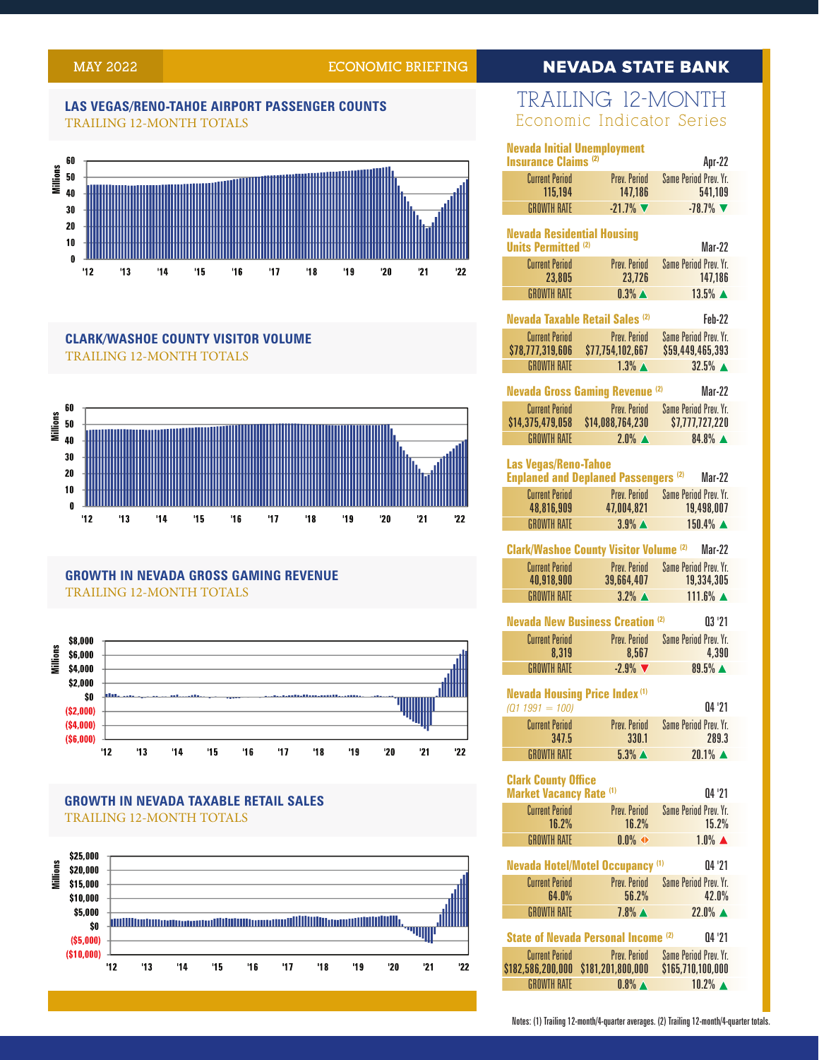# **MAY 2022 ECONOMIC BRIEFING**

# **NEVADA STATE BANK**

#### **LAS VEGAS/RENO-TAHOE AIRPORT PASSENGER COUNTS** TRAILING 12-MONTH TOTALS



#### **CLARK/WASHOE COUNTY VISITOR VOLUME** TRAILING 12-MONTH TOTALS



# **GROWTH IN NEVADA GROSS GAMING REVENUE** TRAILING 12-MONTH TOTALS



# **GROWTH IN NEVADA TAXABLE RETAIL SALES** TRAILING 12-MONTH TOTALS



# TRAILING 12-MONTH Economic Indicator Series

| <b>Nevada Initial Unemployment</b>                              |                                               |                                           |  |
|-----------------------------------------------------------------|-----------------------------------------------|-------------------------------------------|--|
| <b>Insurance Claims (2)</b>                                     |                                               | Apr-22                                    |  |
| <b>Current Period</b><br>115,194                                | Prev. Period<br>147,186                       | <b>Same Period Prev. Yr.</b><br>541,109   |  |
| <b>GROWTH RATE</b>                                              | $-21.7%$                                      | $-78.7%$                                  |  |
|                                                                 |                                               |                                           |  |
| <b>Nevada Residential Housing</b><br><b>Units Permitted (2)</b> |                                               | Mar-22                                    |  |
| <b>Current Period</b>                                           | Prev. Period                                  | <b>Same Period Prev. Yr.</b>              |  |
| 23,805                                                          | 23,726                                        | 147,186                                   |  |
| <b>GROWTH RATE</b>                                              | $0.3\%$ $\triangle$                           | $13.5\%$ $\triangle$                      |  |
|                                                                 | <b>Nevada Taxable Retail Sales (2)</b>        | Feb-22                                    |  |
| <b>Current Period</b>                                           | <b>Prev. Period</b>                           | <b>Same Period Prev. Yr.</b>              |  |
| \$78,777,319,606                                                | \$77,754,102,667                              | \$59,449,465,393                          |  |
| <b>GROWTH RATE</b>                                              | $1.3\%$ $\triangle$                           | $32.5%$ $\triangle$                       |  |
|                                                                 | <b>Nevada Gross Gaming Revenue (2)</b>        | <b>Mar-22</b>                             |  |
| <b>Current Period</b>                                           | <b>Prev. Period</b>                           | <b>Same Period Prev. Yr.</b>              |  |
| \$14,375,479,058                                                | \$14,088,764,230                              | \$7,777,727,220                           |  |
| <b>GROWTH RATE</b>                                              | $2.0\%$ $\triangle$                           | 84.8%                                     |  |
| <b>Las Vegas/Reno-Tahoe</b>                                     |                                               |                                           |  |
|                                                                 | <b>Enplaned and Deplaned Passengers (2)</b>   | Mar-22                                    |  |
| <b>Current Period</b>                                           | <b>Prev. Period</b>                           | <b>Same Period Prev. Yr.</b>              |  |
| 48,816,909                                                      | 47,004,821                                    | 19,498,007                                |  |
| <b>GROWTH RATE</b>                                              | $3.9\%$ $\triangle$                           | 150.4% ▲                                  |  |
|                                                                 | <b>Clark/Washoe County Visitor Volume (2)</b> | Mar-22                                    |  |
| <b>Current Period</b><br>40,918,900                             | Prev. Period<br>39,664,407                    | Same Period Prev. Yr.<br>19.334.305       |  |
| <b>GROWTH RATE</b>                                              | $3.2\%$ $\triangle$                           | $111.6\%$ $\triangle$                     |  |
|                                                                 |                                               |                                           |  |
|                                                                 | <b>Nevada New Business Creation (2)</b>       | 03'21                                     |  |
| <b>Current Period</b><br>8,319                                  | Prev. Period<br>8,567                         | <b>Same Period Prev. Yr.</b><br>4,390     |  |
| <b>GROWTH RATE</b>                                              | $-2.9%$                                       | 89.5% ▲                                   |  |
|                                                                 |                                               |                                           |  |
| <b>Nevada Housing Price Index (1)</b>                           |                                               |                                           |  |
| $(Q1 1991 = 100)$                                               |                                               | 04'21                                     |  |
| <b>Current Period</b><br>347.5                                  | Prev. Period<br>330.1                         | <b>Same Period Prev. Yr.</b><br>289.3     |  |
| <b>GROWTH RATE</b>                                              | $5.3\%$ $\triangle$                           | $20.1\%$ $\triangle$                      |  |
|                                                                 |                                               |                                           |  |
| <b>Clark County Office</b><br><b>Market Vacancy Rate (1)</b>    |                                               |                                           |  |
| <b>Current Period</b>                                           | Prev. Period                                  | 04 '21<br><b>Same Period Prev. Yr.</b>    |  |
| 16.2%                                                           | 16.2%                                         | 15.2%                                     |  |
| <b>GROWTH RATE</b>                                              | $0.0\%$ $\rightarrow$                         | $1.0\%$ $\triangle$                       |  |
|                                                                 |                                               |                                           |  |
|                                                                 | <b>Nevada Hotel/Motel Occupancy (1)</b>       | 04 '21                                    |  |
| <b>Current Period</b><br>64.0%                                  | Prev. Period<br>56.2%                         | Same Period Prev. Yr.<br>42.0%            |  |
| <b>GROWTH RATE</b>                                              | $7.8\%$ $\triangle$                           | $22.0\%$ $\triangle$                      |  |
|                                                                 |                                               |                                           |  |
| <b>State of Nevada Personal Income (2)</b><br>04'21             |                                               |                                           |  |
| <b>Current Period</b>                                           | Prev. Period                                  | <b>Same Period Prev. Yr.</b>              |  |
| \$182,586,200,000                                               | \$181,201,800,000                             | \$165,710,100,000<br>$10.2\%$ $\triangle$ |  |
| <b>GROWTH RATE</b>                                              | $0.8\%$ $\triangle$                           |                                           |  |

Notes: (1) Trailing 12-month/4-quarter averages. (2) Trailing 12-month/4-quarter totals.